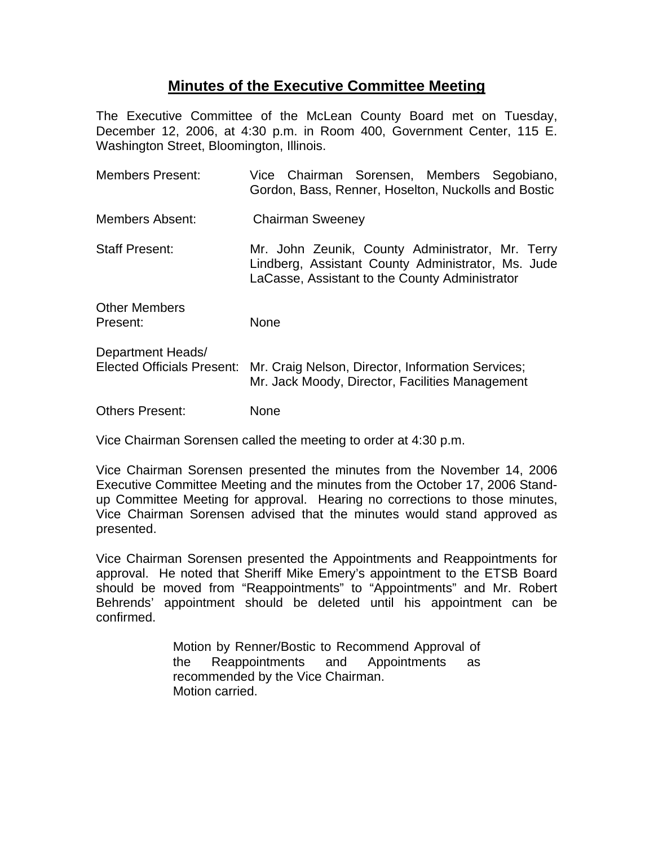## **Minutes of the Executive Committee Meeting**

The Executive Committee of the McLean County Board met on Tuesday, December 12, 2006, at 4:30 p.m. in Room 400, Government Center, 115 E. Washington Street, Bloomington, Illinois.

| <b>Members Present:</b>                                | Vice Chairman Sorensen, Members Segobiano,<br>Gordon, Bass, Renner, Hoselton, Nuckolls and Bostic                                                        |
|--------------------------------------------------------|----------------------------------------------------------------------------------------------------------------------------------------------------------|
| Members Absent:                                        | <b>Chairman Sweeney</b>                                                                                                                                  |
| <b>Staff Present:</b>                                  | Mr. John Zeunik, County Administrator, Mr. Terry<br>Lindberg, Assistant County Administrator, Ms. Jude<br>LaCasse, Assistant to the County Administrator |
| <b>Other Members</b><br>Present:                       | None                                                                                                                                                     |
| Department Heads/<br><b>Elected Officials Present:</b> | Mr. Craig Nelson, Director, Information Services;<br>Mr. Jack Moody, Director, Facilities Management                                                     |
| <b>Others Present:</b>                                 | None                                                                                                                                                     |

Vice Chairman Sorensen called the meeting to order at 4:30 p.m.

Vice Chairman Sorensen presented the minutes from the November 14, 2006 Executive Committee Meeting and the minutes from the October 17, 2006 Standup Committee Meeting for approval. Hearing no corrections to those minutes, Vice Chairman Sorensen advised that the minutes would stand approved as presented.

Vice Chairman Sorensen presented the Appointments and Reappointments for approval. He noted that Sheriff Mike Emery's appointment to the ETSB Board should be moved from "Reappointments" to "Appointments" and Mr. Robert Behrends' appointment should be deleted until his appointment can be confirmed.

> Motion by Renner/Bostic to Recommend Approval of the Reappointments and Appointments as recommended by the Vice Chairman. Motion carried.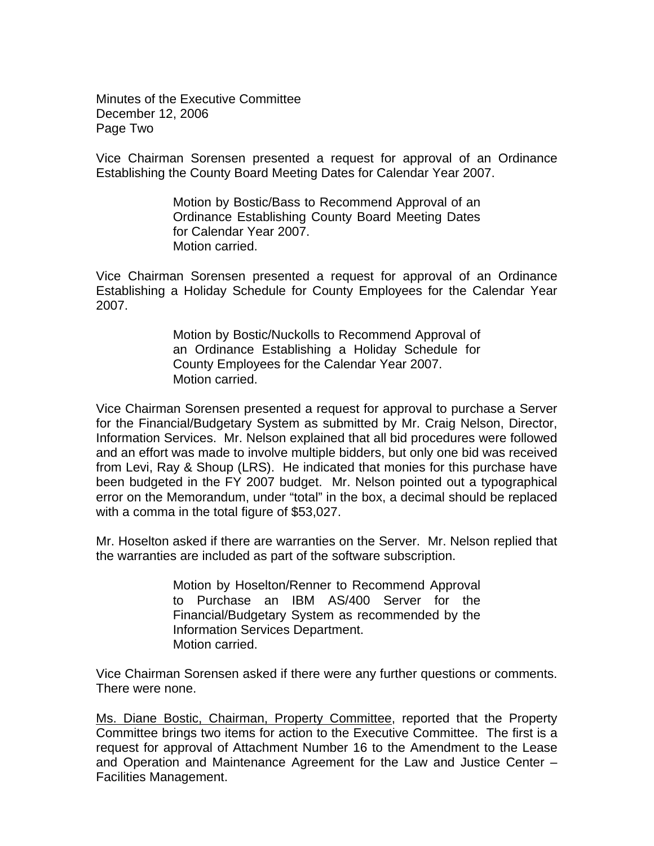Minutes of the Executive Committee December 12, 2006 Page Two

Vice Chairman Sorensen presented a request for approval of an Ordinance Establishing the County Board Meeting Dates for Calendar Year 2007.

> Motion by Bostic/Bass to Recommend Approval of an Ordinance Establishing County Board Meeting Dates for Calendar Year 2007. Motion carried.

Vice Chairman Sorensen presented a request for approval of an Ordinance Establishing a Holiday Schedule for County Employees for the Calendar Year 2007.

> Motion by Bostic/Nuckolls to Recommend Approval of an Ordinance Establishing a Holiday Schedule for County Employees for the Calendar Year 2007. Motion carried.

Vice Chairman Sorensen presented a request for approval to purchase a Server for the Financial/Budgetary System as submitted by Mr. Craig Nelson, Director, Information Services. Mr. Nelson explained that all bid procedures were followed and an effort was made to involve multiple bidders, but only one bid was received from Levi, Ray & Shoup (LRS). He indicated that monies for this purchase have been budgeted in the FY 2007 budget. Mr. Nelson pointed out a typographical error on the Memorandum, under "total" in the box, a decimal should be replaced with a comma in the total figure of \$53,027.

Mr. Hoselton asked if there are warranties on the Server. Mr. Nelson replied that the warranties are included as part of the software subscription.

> Motion by Hoselton/Renner to Recommend Approval to Purchase an IBM AS/400 Server for the Financial/Budgetary System as recommended by the Information Services Department. Motion carried.

Vice Chairman Sorensen asked if there were any further questions or comments. There were none.

Ms. Diane Bostic, Chairman, Property Committee, reported that the Property Committee brings two items for action to the Executive Committee. The first is a request for approval of Attachment Number 16 to the Amendment to the Lease and Operation and Maintenance Agreement for the Law and Justice Center – Facilities Management.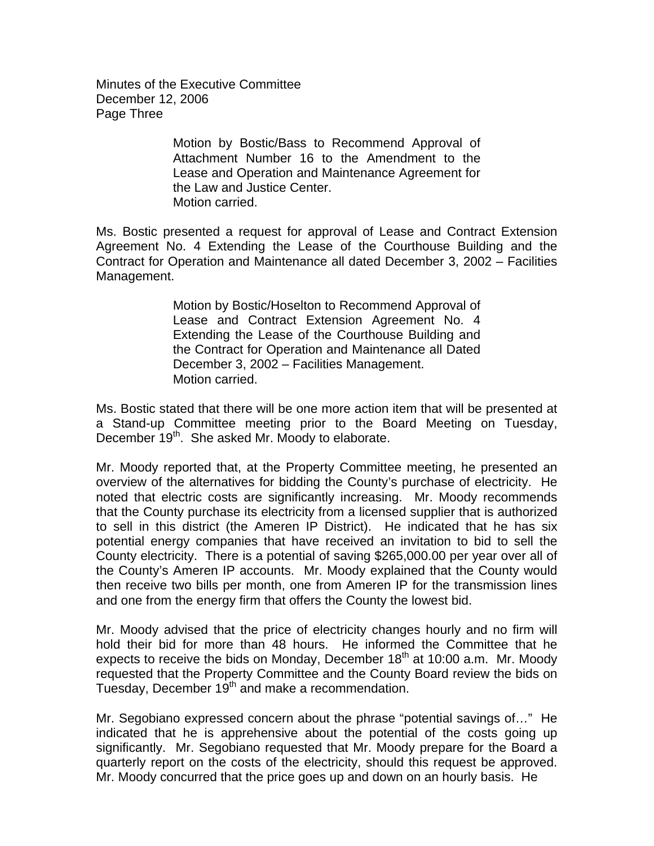Minutes of the Executive Committee December 12, 2006 Page Three

> Motion by Bostic/Bass to Recommend Approval of Attachment Number 16 to the Amendment to the Lease and Operation and Maintenance Agreement for the Law and Justice Center. Motion carried.

Ms. Bostic presented a request for approval of Lease and Contract Extension Agreement No. 4 Extending the Lease of the Courthouse Building and the Contract for Operation and Maintenance all dated December 3, 2002 – Facilities Management.

> Motion by Bostic/Hoselton to Recommend Approval of Lease and Contract Extension Agreement No. 4 Extending the Lease of the Courthouse Building and the Contract for Operation and Maintenance all Dated December 3, 2002 – Facilities Management. Motion carried.

Ms. Bostic stated that there will be one more action item that will be presented at a Stand-up Committee meeting prior to the Board Meeting on Tuesday, December 19<sup>th</sup>. She asked Mr. Moody to elaborate.

Mr. Moody reported that, at the Property Committee meeting, he presented an overview of the alternatives for bidding the County's purchase of electricity. He noted that electric costs are significantly increasing. Mr. Moody recommends that the County purchase its electricity from a licensed supplier that is authorized to sell in this district (the Ameren IP District). He indicated that he has six potential energy companies that have received an invitation to bid to sell the County electricity. There is a potential of saving \$265,000.00 per year over all of the County's Ameren IP accounts. Mr. Moody explained that the County would then receive two bills per month, one from Ameren IP for the transmission lines and one from the energy firm that offers the County the lowest bid.

Mr. Moody advised that the price of electricity changes hourly and no firm will hold their bid for more than 48 hours. He informed the Committee that he expects to receive the bids on Monday, December  $18<sup>th</sup>$  at 10:00 a.m. Mr. Moody requested that the Property Committee and the County Board review the bids on Tuesday, December 19<sup>th</sup> and make a recommendation.

Mr. Segobiano expressed concern about the phrase "potential savings of…" He indicated that he is apprehensive about the potential of the costs going up significantly. Mr. Segobiano requested that Mr. Moody prepare for the Board a quarterly report on the costs of the electricity, should this request be approved. Mr. Moody concurred that the price goes up and down on an hourly basis. He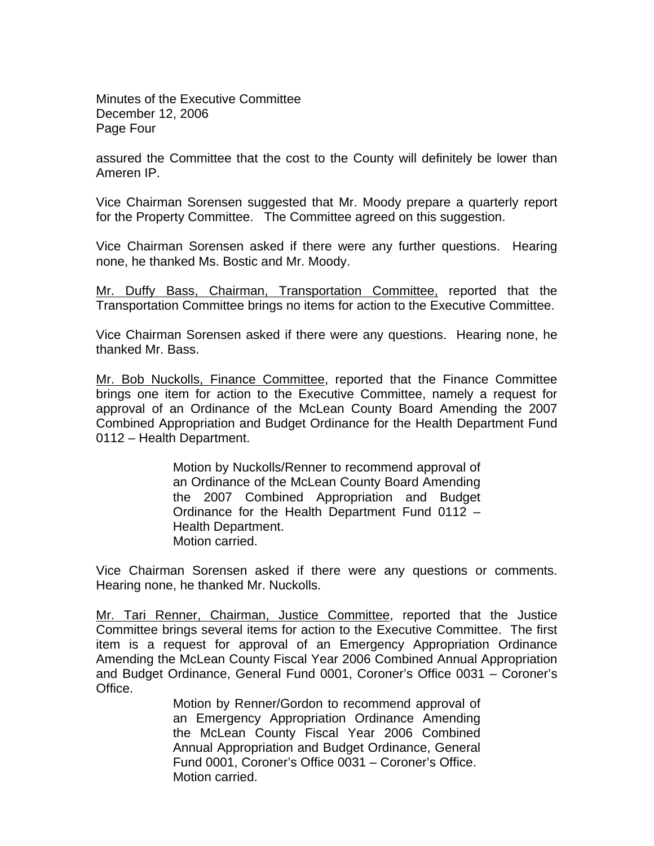Minutes of the Executive Committee December 12, 2006 Page Four

assured the Committee that the cost to the County will definitely be lower than Ameren IP.

Vice Chairman Sorensen suggested that Mr. Moody prepare a quarterly report for the Property Committee. The Committee agreed on this suggestion.

Vice Chairman Sorensen asked if there were any further questions. Hearing none, he thanked Ms. Bostic and Mr. Moody.

Mr. Duffy Bass, Chairman, Transportation Committee, reported that the Transportation Committee brings no items for action to the Executive Committee.

Vice Chairman Sorensen asked if there were any questions. Hearing none, he thanked Mr. Bass.

Mr. Bob Nuckolls, Finance Committee, reported that the Finance Committee brings one item for action to the Executive Committee, namely a request for approval of an Ordinance of the McLean County Board Amending the 2007 Combined Appropriation and Budget Ordinance for the Health Department Fund 0112 – Health Department.

> Motion by Nuckolls/Renner to recommend approval of an Ordinance of the McLean County Board Amending the 2007 Combined Appropriation and Budget Ordinance for the Health Department Fund 0112 – Health Department. Motion carried.

Vice Chairman Sorensen asked if there were any questions or comments. Hearing none, he thanked Mr. Nuckolls.

Mr. Tari Renner, Chairman, Justice Committee, reported that the Justice Committee brings several items for action to the Executive Committee. The first item is a request for approval of an Emergency Appropriation Ordinance Amending the McLean County Fiscal Year 2006 Combined Annual Appropriation and Budget Ordinance, General Fund 0001, Coroner's Office 0031 – Coroner's Office.

> Motion by Renner/Gordon to recommend approval of an Emergency Appropriation Ordinance Amending the McLean County Fiscal Year 2006 Combined Annual Appropriation and Budget Ordinance, General Fund 0001, Coroner's Office 0031 – Coroner's Office. Motion carried.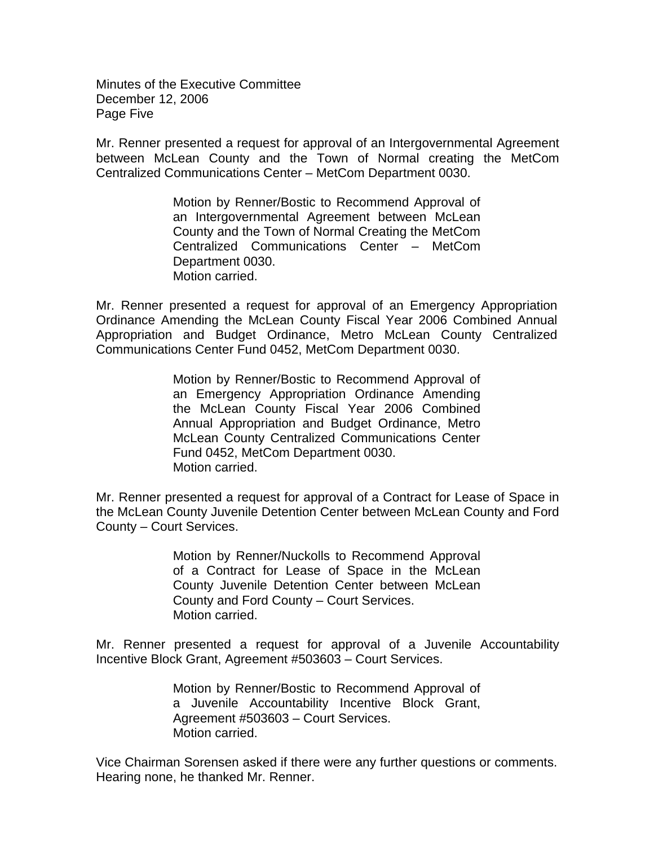Minutes of the Executive Committee December 12, 2006 Page Five

Mr. Renner presented a request for approval of an Intergovernmental Agreement between McLean County and the Town of Normal creating the MetCom Centralized Communications Center – MetCom Department 0030.

> Motion by Renner/Bostic to Recommend Approval of an Intergovernmental Agreement between McLean County and the Town of Normal Creating the MetCom Centralized Communications Center – MetCom Department 0030. Motion carried.

Mr. Renner presented a request for approval of an Emergency Appropriation Ordinance Amending the McLean County Fiscal Year 2006 Combined Annual Appropriation and Budget Ordinance, Metro McLean County Centralized Communications Center Fund 0452, MetCom Department 0030.

> Motion by Renner/Bostic to Recommend Approval of an Emergency Appropriation Ordinance Amending the McLean County Fiscal Year 2006 Combined Annual Appropriation and Budget Ordinance, Metro McLean County Centralized Communications Center Fund 0452, MetCom Department 0030. Motion carried.

Mr. Renner presented a request for approval of a Contract for Lease of Space in the McLean County Juvenile Detention Center between McLean County and Ford County – Court Services.

> Motion by Renner/Nuckolls to Recommend Approval of a Contract for Lease of Space in the McLean County Juvenile Detention Center between McLean County and Ford County – Court Services. Motion carried.

Mr. Renner presented a request for approval of a Juvenile Accountability Incentive Block Grant, Agreement #503603 – Court Services.

> Motion by Renner/Bostic to Recommend Approval of a Juvenile Accountability Incentive Block Grant, Agreement #503603 – Court Services. Motion carried.

Vice Chairman Sorensen asked if there were any further questions or comments. Hearing none, he thanked Mr. Renner.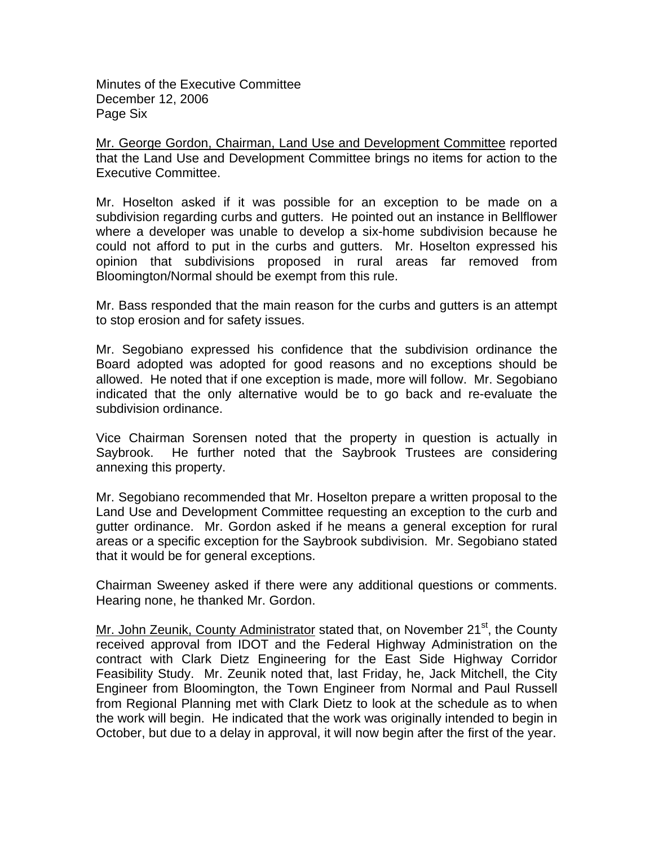Minutes of the Executive Committee December 12, 2006 Page Six

Mr. George Gordon, Chairman, Land Use and Development Committee reported that the Land Use and Development Committee brings no items for action to the Executive Committee.

Mr. Hoselton asked if it was possible for an exception to be made on a subdivision regarding curbs and gutters. He pointed out an instance in Bellflower where a developer was unable to develop a six-home subdivision because he could not afford to put in the curbs and gutters. Mr. Hoselton expressed his opinion that subdivisions proposed in rural areas far removed from Bloomington/Normal should be exempt from this rule.

Mr. Bass responded that the main reason for the curbs and gutters is an attempt to stop erosion and for safety issues.

Mr. Segobiano expressed his confidence that the subdivision ordinance the Board adopted was adopted for good reasons and no exceptions should be allowed. He noted that if one exception is made, more will follow. Mr. Segobiano indicated that the only alternative would be to go back and re-evaluate the subdivision ordinance.

Vice Chairman Sorensen noted that the property in question is actually in Saybrook. He further noted that the Saybrook Trustees are considering annexing this property.

Mr. Segobiano recommended that Mr. Hoselton prepare a written proposal to the Land Use and Development Committee requesting an exception to the curb and gutter ordinance. Mr. Gordon asked if he means a general exception for rural areas or a specific exception for the Saybrook subdivision. Mr. Segobiano stated that it would be for general exceptions.

Chairman Sweeney asked if there were any additional questions or comments. Hearing none, he thanked Mr. Gordon.

Mr. John Zeunik, County Administrator stated that, on November 21<sup>st</sup>, the County received approval from IDOT and the Federal Highway Administration on the contract with Clark Dietz Engineering for the East Side Highway Corridor Feasibility Study. Mr. Zeunik noted that, last Friday, he, Jack Mitchell, the City Engineer from Bloomington, the Town Engineer from Normal and Paul Russell from Regional Planning met with Clark Dietz to look at the schedule as to when the work will begin. He indicated that the work was originally intended to begin in October, but due to a delay in approval, it will now begin after the first of the year.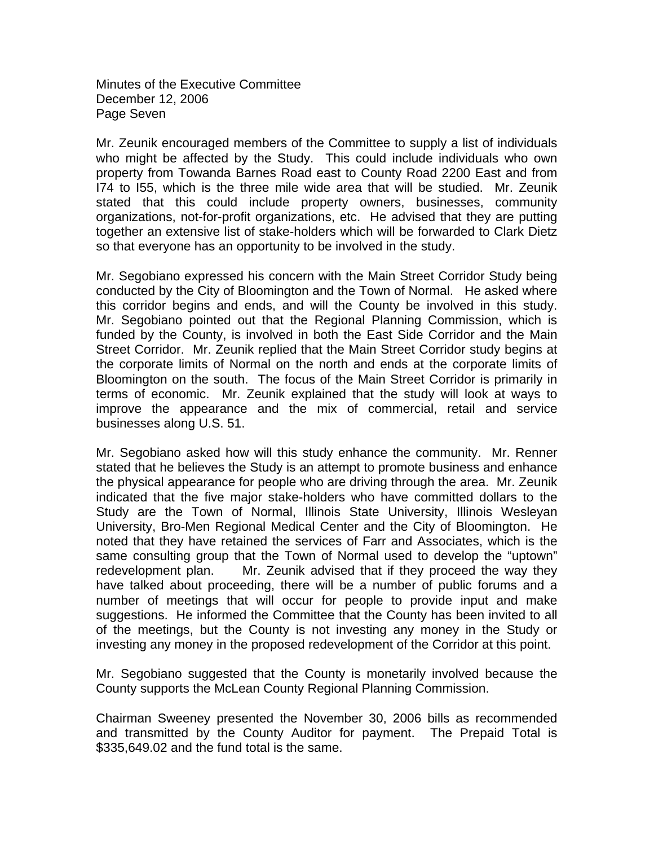Minutes of the Executive Committee December 12, 2006 Page Seven

Mr. Zeunik encouraged members of the Committee to supply a list of individuals who might be affected by the Study. This could include individuals who own property from Towanda Barnes Road east to County Road 2200 East and from I74 to I55, which is the three mile wide area that will be studied. Mr. Zeunik stated that this could include property owners, businesses, community organizations, not-for-profit organizations, etc. He advised that they are putting together an extensive list of stake-holders which will be forwarded to Clark Dietz so that everyone has an opportunity to be involved in the study.

Mr. Segobiano expressed his concern with the Main Street Corridor Study being conducted by the City of Bloomington and the Town of Normal. He asked where this corridor begins and ends, and will the County be involved in this study. Mr. Segobiano pointed out that the Regional Planning Commission, which is funded by the County, is involved in both the East Side Corridor and the Main Street Corridor. Mr. Zeunik replied that the Main Street Corridor study begins at the corporate limits of Normal on the north and ends at the corporate limits of Bloomington on the south. The focus of the Main Street Corridor is primarily in terms of economic. Mr. Zeunik explained that the study will look at ways to improve the appearance and the mix of commercial, retail and service businesses along U.S. 51.

Mr. Segobiano asked how will this study enhance the community. Mr. Renner stated that he believes the Study is an attempt to promote business and enhance the physical appearance for people who are driving through the area. Mr. Zeunik indicated that the five major stake-holders who have committed dollars to the Study are the Town of Normal, Illinois State University, Illinois Wesleyan University, Bro-Men Regional Medical Center and the City of Bloomington. He noted that they have retained the services of Farr and Associates, which is the same consulting group that the Town of Normal used to develop the "uptown" redevelopment plan. Mr. Zeunik advised that if they proceed the way they have talked about proceeding, there will be a number of public forums and a number of meetings that will occur for people to provide input and make suggestions. He informed the Committee that the County has been invited to all of the meetings, but the County is not investing any money in the Study or investing any money in the proposed redevelopment of the Corridor at this point.

Mr. Segobiano suggested that the County is monetarily involved because the County supports the McLean County Regional Planning Commission.

Chairman Sweeney presented the November 30, 2006 bills as recommended and transmitted by the County Auditor for payment. The Prepaid Total is \$335,649.02 and the fund total is the same.